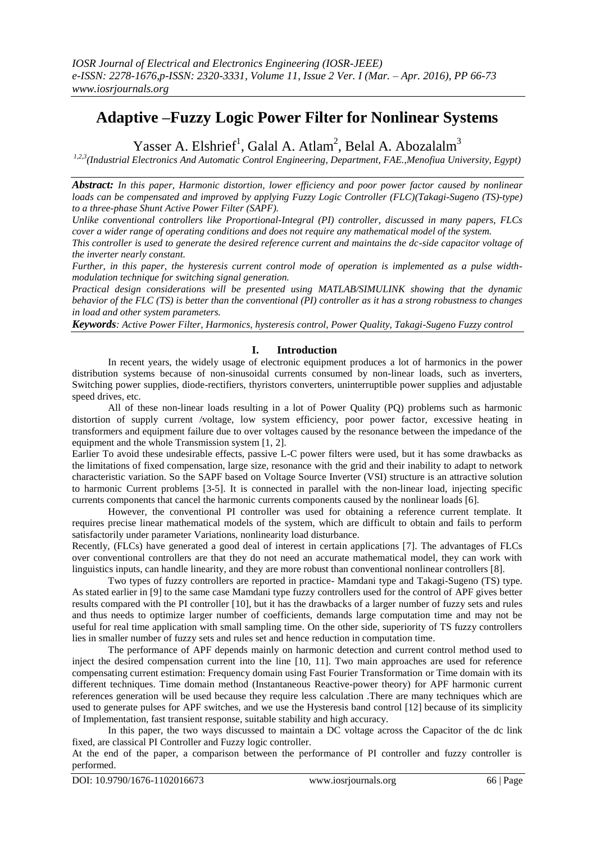# **Adaptive –Fuzzy Logic Power Filter for Nonlinear Systems**

Yasser A. Elshrief<sup>1</sup>, Galal A. Atlam<sup>2</sup>, Belal A. Abozalalm<sup>3</sup>

*1,2,3(Industrial Electronics And Automatic Control Engineering, Department, FAE.,Menofiua University, Egypt)*

*Abstract: In this paper, Harmonic distortion, lower efficiency and poor power factor caused by nonlinear loads can be compensated and improved by applying Fuzzy Logic Controller (FLC)(Takagi-Sugeno (TS)-type) to a three-phase Shunt Active Power Filter (SAPF).*

*Unlike conventional controllers like Proportional-Integral (PI) controller, discussed in many papers, FLCs cover a wider range of operating conditions and does not require any mathematical model of the system.*

*This controller is used to generate the desired reference current and maintains the dc-side capacitor voltage of the inverter nearly constant.*

*Further, in this paper, the hysteresis current control mode of operation is implemented as a pulse widthmodulation technique for switching signal generation.*

*Practical design considerations will be presented using MATLAB/SIMULINK showing that the dynamic behavior of the FLC (TS) is better than the conventional (PI) controller as it has a strong robustness to changes in load and other system parameters.*

*Keywords: Active Power Filter, Harmonics, hysteresis control, Power Quality, Takagi-Sugeno Fuzzy control*

## **I. Introduction**

In recent years, the widely usage of electronic equipment produces a lot of harmonics in the power distribution systems because of non-sinusoidal currents consumed by non-linear loads, such as inverters, Switching power supplies, diode-rectifiers, thyristors converters, uninterruptible power supplies and adjustable speed drives, etc.

All of these non-linear loads resulting in a lot of Power Quality (PQ) problems such as harmonic distortion of supply current /voltage, low system efficiency, poor power factor, excessive heating in transformers and equipment failure due to over voltages caused by the resonance between the impedance of the equipment and the whole Transmission system [1, 2].

Earlier To avoid these undesirable effects, passive L-C power filters were used, but it has some drawbacks as the limitations of fixed compensation, large size, resonance with the grid and their inability to adapt to network characteristic variation. So the SAPF based on Voltage Source Inverter (VSI) structure is an attractive solution to harmonic Current problems [3-5]. It is connected in parallel with the non-linear load, injecting specific currents components that cancel the harmonic currents components caused by the nonlinear loads [6].

However, the conventional PI controller was used for obtaining a reference current template. It requires precise linear mathematical models of the system, which are difficult to obtain and fails to perform satisfactorily under parameter Variations, nonlinearity load disturbance.

Recently, (FLCs) have generated a good deal of interest in certain applications [7]. The advantages of FLCs over conventional controllers are that they do not need an accurate mathematical model, they can work with linguistics inputs, can handle linearity, and they are more robust than conventional nonlinear controllers [8].

Two types of fuzzy controllers are reported in practice- Mamdani type and Takagi-Sugeno (TS) type. As stated earlier in [9] to the same case Mamdani type fuzzy controllers used for the control of APF gives better results compared with the PI controller [10], but it has the drawbacks of a larger number of fuzzy sets and rules and thus needs to optimize larger number of coefficients, demands large computation time and may not be useful for real time application with small sampling time. On the other side, superiority of TS fuzzy controllers lies in smaller number of fuzzy sets and rules set and hence reduction in computation time.

The performance of APF depends mainly on harmonic detection and current control method used to inject the desired compensation current into the line [10, 11]. Two main approaches are used for reference compensating current estimation: Frequency domain using Fast Fourier Transformation or Time domain with its different techniques. Time domain method (Instantaneous Reactive-power theory) for APF harmonic current references generation will be used because they require less calculation .There are many techniques which are used to generate pulses for APF switches, and we use the Hysteresis band control [12] because of its simplicity of Implementation, fast transient response, suitable stability and high accuracy.

In this paper, the two ways discussed to maintain a DC voltage across the Capacitor of the dc link fixed, are classical PI Controller and Fuzzy logic controller.

At the end of the paper, a comparison between the performance of PI controller and fuzzy controller is performed.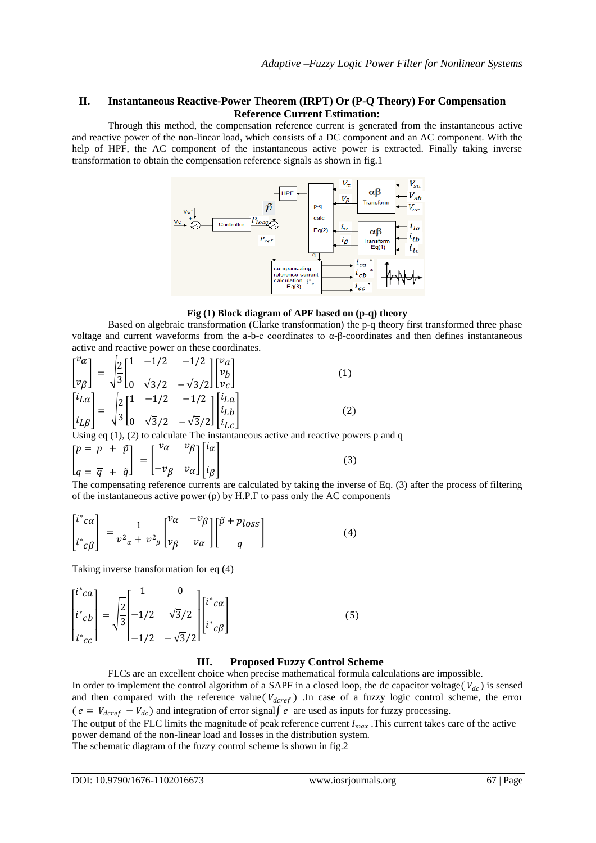## **II. Instantaneous Reactive-Power Theorem (IRPT) Or (P-Q Theory) For Compensation Reference Current Estimation:**

Through this method, the compensation reference current is generated from the instantaneous active and reactive power of the non-linear load, which consists of a DC component and an AC component. With the help of HPF, the AC component of the instantaneous active power is extracted. Finally taking inverse transformation to obtain the compensation reference signals as shown in fig.1





Based on algebraic transformation (Clarke transformation) the p-q theory first transformed three phase voltage and current waveforms from the a-b-c coordinates to α-β-coordinates and then defines instantaneous active and reactive power on these coordinates.

$$
\begin{bmatrix} v_{\alpha} \\ v_{\beta} \end{bmatrix} = \sqrt{\frac{2}{3}} \begin{bmatrix} 1 & -1/2 & -1/2 \\ 0 & \sqrt{3}/2 & -\sqrt{3}/2 \end{bmatrix} \begin{bmatrix} v_{\alpha} \\ v_{b} \end{bmatrix}
$$
(1)  
\n
$$
\begin{bmatrix} i_{L\alpha} \\ i_{L\beta} \end{bmatrix} = \sqrt{\frac{2}{3}} \begin{bmatrix} 1 & -1/2 & -1/2 \\ 0 & \sqrt{3}/2 & -\sqrt{3}/2 \end{bmatrix} \begin{bmatrix} i_{L\alpha} \\ i_{Lb} \end{bmatrix}
$$
(2)  
\nUsing eq (1), (2) to calculate The instantaneous active and reactive powers p and q  
\n
$$
\begin{bmatrix} p = \overline{p} + \tilde{p} \\ q = \overline{q} + \tilde{q} \end{bmatrix} = \begin{bmatrix} v_{\alpha} & v_{\beta} \\ -v_{\beta} & v_{\alpha} \end{bmatrix} \begin{bmatrix} i_{\alpha} \\ i_{\beta} \end{bmatrix}
$$
(3)

The compensating reference currents are calculated by taking the inverse of Eq. (3) after the process of filtering of the instantaneous active power (p) by H.P.F to pass only the AC components

$$
\begin{bmatrix} i^* c \alpha \\ i^* c \beta \end{bmatrix} = \frac{1}{v^2 \alpha + v^2 \beta} \begin{bmatrix} v \alpha & -v \beta \\ v \beta & v \alpha \end{bmatrix} \begin{bmatrix} \tilde{p} + p_{loss} \\ q \end{bmatrix}
$$
 (4)

Taking inverse transformation for eq (4)

$$
\begin{bmatrix} i^*ca \\ i^*cb \\ i^*cc \end{bmatrix} = \sqrt{\frac{2}{3}} \begin{bmatrix} 1 & 0 \\ -1/2 & \sqrt{3}/2 \\ -1/2 & -\sqrt{3}/2 \end{bmatrix} \begin{bmatrix} i^*ca \\ i^*c\beta \end{bmatrix}
$$
 (5)

## **III. Proposed Fuzzy Control Scheme**

FLCs are an excellent choice when precise mathematical formula calculations are impossible. In order to implement the control algorithm of a SAPF in a closed loop, the dc capacitor voltage( $V_{dc}$ ) is sensed and then compared with the reference value( $V_{dcref}$ ) .In case of a fuzzy logic control scheme, the error  $(e = V_{d\text{cref}} - V_{dc})$  and integration of error signal  $\int e^{\alpha}$  are used as inputs for fuzzy processing. The output of the FLC limits the magnitude of peak reference current  $I_{max}$ . This current takes care of the active power demand of the non-linear load and losses in the distribution system.

The schematic diagram of the fuzzy control scheme is shown in fig.2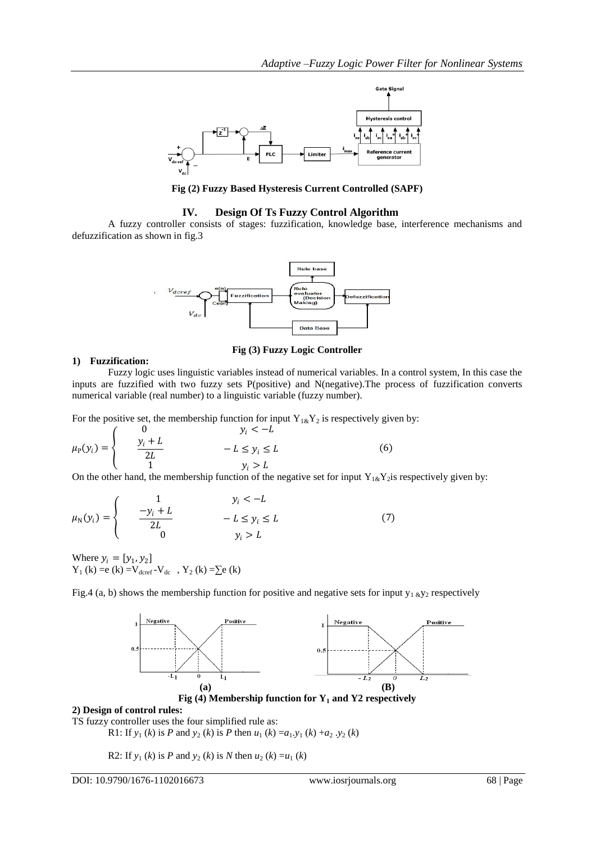

**Fig (2) Fuzzy Based Hysteresis Current Controlled (SAPF)**

### **IV. Design Of Ts Fuzzy Control Algorithm**

A fuzzy controller consists of stages: fuzzification, knowledge base, interference mechanisms and defuzzification as shown in fig.3



**Fig (3) Fuzzy Logic Controller**

#### **1) Fuzzification:**

Fuzzy logic uses linguistic variables instead of numerical variables. In a control system, In this case the inputs are fuzzified with two fuzzy sets P(positive) and N(negative).The process of fuzzification converts numerical variable (real number) to a linguistic variable (fuzzy number).

For the positive set, the membership function for input  $Y_{1\&}Y_2$  is respectively given by:

$$
\mu_{P}(y_{i}) = \begin{cases}\n0 & y_{i} < -L \\
\frac{y_{i} + L}{2L} & -L \le y_{i} \le L \\
1 & y_{i} > L\n\end{cases}
$$
\n(6)

On the other hand, the membership function of the negative set for input  $Y_{1\&}Y_2$  is respectively given by:

$$
\mu_{N}(y_{i}) = \begin{cases}\n1 & y_{i} < -L \\
\frac{-y_{i} + L}{2L} & -L \le y_{i} \le L \\
0 & y_{i} > L\n\end{cases}
$$
\n(7)

Where  $y_i = [y_1, y_2]$  $Y_1$  (k) = $e$  (k) = $V_{\text{d} \text{c} \text{ref}} - V_{\text{d} \text{c}}$ ,  $Y_2$  (k) = $\sum e$  (k)

Fig.4 (a, b) shows the membership function for positive and negative sets for input  $y_1$   $_{8}y_2$  respectively



**Fig (4) Membership function for Y<sup>1</sup> and Y2 respectively**

## **2) Design of control rules:**

TS fuzzy controller uses the four simplified rule as:

R1: If  $y_1$  (*k*) is *P* and  $y_2$  (*k*) is *P* then  $u_1$  (*k*) =  $a_1$ . $y_1$  (*k*) +  $a_2$ . $y_2$  (*k*)

R2: If  $y_1$  (*k*) is *P* and  $y_2$  (*k*) is *N* then  $u_2$  (*k*) =  $u_1$  (*k*)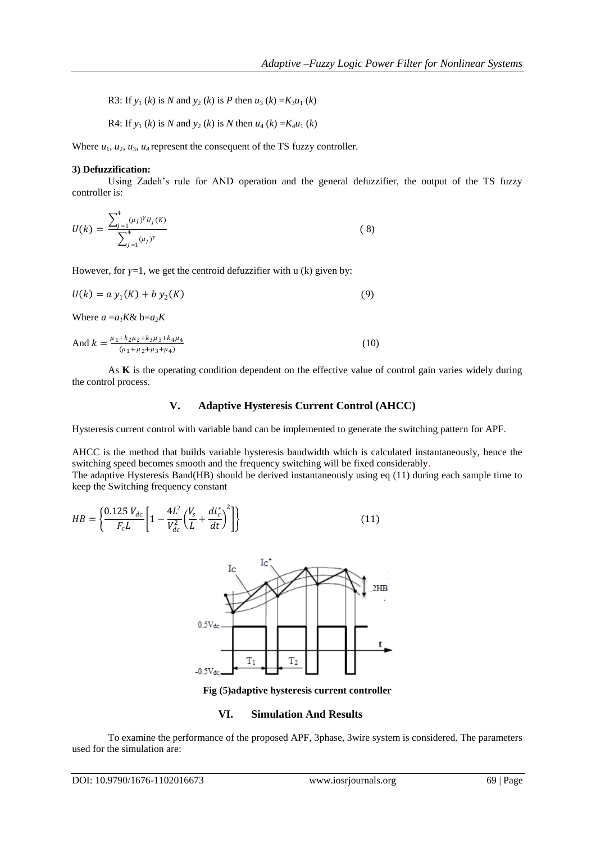R3: If  $y_1$  (*k*) is *N* and  $y_2$  (*k*) is *P* then  $u_3$  (*k*) =  $K_3u_1$  (*k*)

R4: If  $y_1$  (*k*) is *N* and  $y_2$  (*k*) is *N* then  $u_4$  (*k*) =  $K_4u_1$  (*k*)

Where  $u_1$ ,  $u_2$ ,  $u_3$ ,  $u_4$  represent the consequent of the TS fuzzy controller.

### **3) Defuzzification:**

Using Zadeh's rule for AND operation and the general defuzzifier, the output of the TS fuzzy controller is:

$$
U(k) = \frac{\sum_{j=1}^{4} (\mu_j)^{\gamma} u_j(k)}{\sum_{j=1}^{4} (\mu_j)^{\gamma}}
$$
(8)

However, for  $y=1$ , we get the centroid defuzzifier with u (k) given by:

$$
U(k) = a y_1(K) + b y_2(K)
$$
\n(9)

Where  $a = a_1 K \& b = a_2 K$ 

And 
$$
k = \frac{\mu_1 + k_2 \mu_2 + k_3 \mu_3 + k_4 \mu_4}{(\mu_1 + \mu_2 + \mu_3 + \mu_4)}
$$
 (10)

As **K** is the operating condition dependent on the effective value of control gain varies widely during the control process.

## **V. Adaptive Hysteresis Current Control (AHCC)**

Hysteresis current control with variable band can be implemented to generate the switching pattern for APF.

AHCC is the method that builds variable hysteresis bandwidth which is calculated instantaneously, hence the switching speed becomes smooth and the frequency switching will be fixed considerably. The adaptive Hysteresis Band(HB) should be derived instantaneously using eq (11) during each sample time to keep the Switching frequency constant

$$
HB = \left\{ \frac{0.125 V_{dc}}{F_c L} \left[ 1 - \frac{4L^2}{V_{dc}^2} \left( \frac{V_s}{L} + \frac{di_c^*}{dt} \right)^2 \right] \right\}
$$
(11)



**Fig (5)adaptive hysteresis current controller**

**VI. Simulation And Results**

To examine the performance of the proposed APF, 3phase, 3wire system is considered. The parameters used for the simulation are: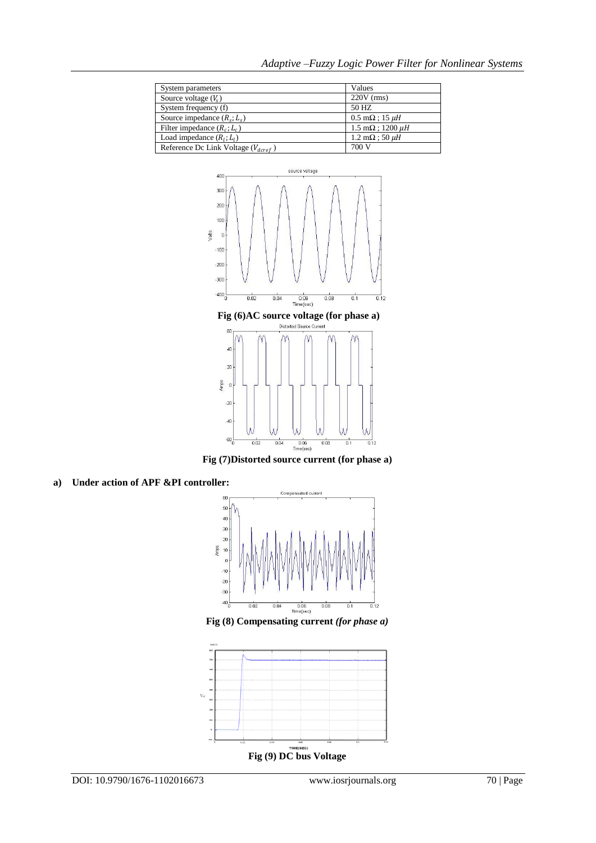| System parameters                         | Values                          |
|-------------------------------------------|---------------------------------|
| Source voltage $(V_s)$                    | $220V$ (rms)                    |
| System frequency (f)                      | 50 HZ                           |
| Source impedance $(R_s; L_s)$             | $0.5 \text{ mA}$ ; 15 $\mu$ H   |
| Filter impedance $(R_c; L_c)$             | $1.5 \text{ mA}$ ; 1200 $\mu$ H |
| Load impedance $(R1; L1)$                 | $1.2 \text{ mA}$ ; 50 $\mu$ H   |
| Reference Dc Link Voltage ( $V_{dcref}$ ) | 700 V                           |



**Fig (7)Distorted source current (for phase a)**

**a) Under action of APF &PI controller:**



**Fig (8) Compensating current** *(for phase a)*

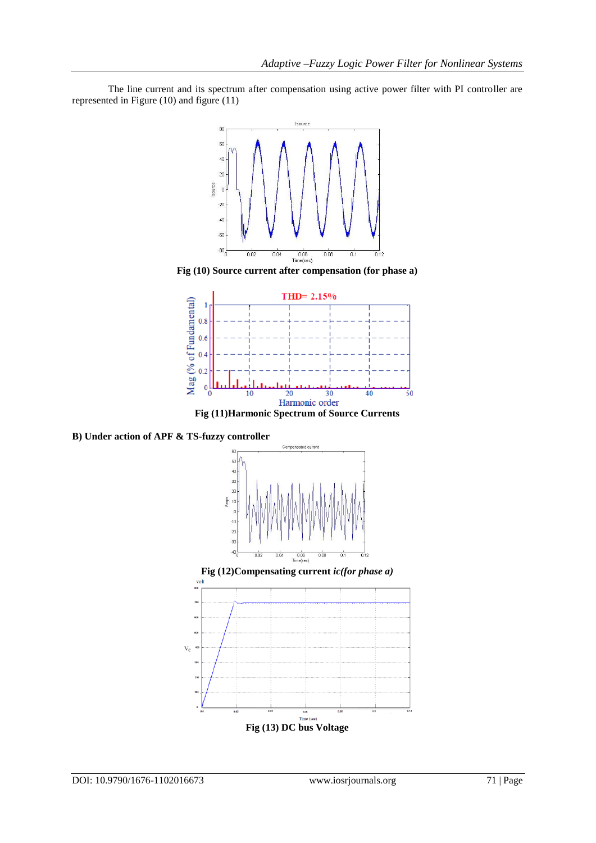The line current and its spectrum after compensation using active power filter with PI controller are represented in Figure (10) and figure (11)



**Fig (10) Source current after compensation (for phase a)**



**B) Under action of APF & TS-fuzzy controller**

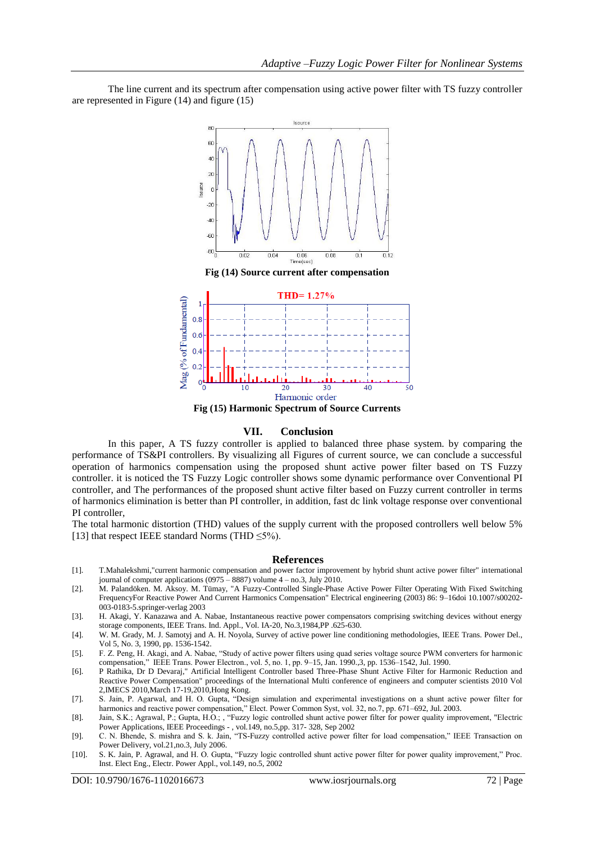The line current and its spectrum after compensation using active power filter with TS fuzzy controller are represented in Figure (14) and figure (15)



#### **Fig (15) Harmonic Spectrum of Source Currents**

## **VII. Conclusion**

In this paper, A TS fuzzy controller is applied to balanced three phase system. by comparing the performance of TS&PI controllers. By visualizing all Figures of current source, we can conclude a successful operation of harmonics compensation using the proposed shunt active power filter based on TS Fuzzy controller. it is noticed the TS Fuzzy Logic controller shows some dynamic performance over Conventional PI controller, and The performances of the proposed shunt active filter based on Fuzzy current controller in terms of harmonics elimination is better than PI controller, in addition, fast dc link voltage response over conventional PI controller,

The total harmonic distortion (THD) values of the supply current with the proposed controllers well below 5% [13] that respect IEEE standard Norms (THD  $\leq$ 5%).

#### **References**

- [1]. T.Mahalekshmi,"current harmonic compensation and power factor improvement by hybrid shunt active power filter" international journal of computer applications (0975 – 8887) volume  $4 -$  no.3, July 2010.
- [2]. M. Palandöken. M. Aksoy. M. Tümay, "A Fuzzy-Controlled Single-Phase Active Power Filter Operating With Fixed Switching FrequencyFor Reactive Power And Current Harmonics Compensation" Electrical engineering (2003) 86: 9–16doi 10.1007/s00202- 003-0183-5.springer-verlag 2003
- [3]. H. Akagi, Y. Kanazawa and A. Nabae, Instantaneous reactive power compensators comprising switching devices without energy storage components, IEEE Trans. Ind. Appl., Vol. IA-20, No.3,1984,PP .625-630.
- [4]. W. M. Grady, M. J. Samotyj and A. H. Noyola, Survey of active power line conditioning methodologies, IEEE Trans. Power Del., Vol 5, No. 3, 1990, pp. 1536-1542.
- [5]. F. Z. Peng, H. Akagi, and A. Nabae, "Study of active power filters using quad series voltage source PWM converters for harmonic compensation," IEEE Trans. Power Electron., vol. 5, no. 1, pp. 9–15, Jan. 1990.,3, pp. 1536–1542, Jul. 1990.
- [6]. P Rathika, Dr D Devaraj," Artificial Intelligent Controller based Three-Phase Shunt Active Filter for Harmonic Reduction and Reactive Power Compensation" proceedings of the International Multi conference of engineers and computer scientists 2010 Vol 2,IMECS 2010,March 17-19,2010,Hong Kong.
- [7]. S. Jain, P. Agarwal, and H. O. Gupta, "Design simulation and experimental investigations on a shunt active power filter for harmonics and reactive power compensation," Elect. Power Common Syst, vol. 32, no.7, pp. 671–692, Jul. 2003.
- [8]. Jain, S.K.; Agrawal, P.; Gupta, H.O.; , "Fuzzy logic controlled shunt active power filter for power quality improvement, "Electric Power Applications, IEEE Proceedings - , vol.149, no.5,pp. 317- 328, Sep 2002
- [9]. C. N. Bhende, S. mishra and S. k. Jain, "TS-Fuzzy controlled active power filter for load compensation," IEEE Transaction on Power Delivery, vol.21,no.3, July 2006.
- [10]. S. K. Jain, P. Agrawal, and H. O. Gupta, "Fuzzy logic controlled shunt active power filter for power quality improvement," Proc. Inst. Elect Eng., Electr. Power Appl., vol.149, no.5, 2002